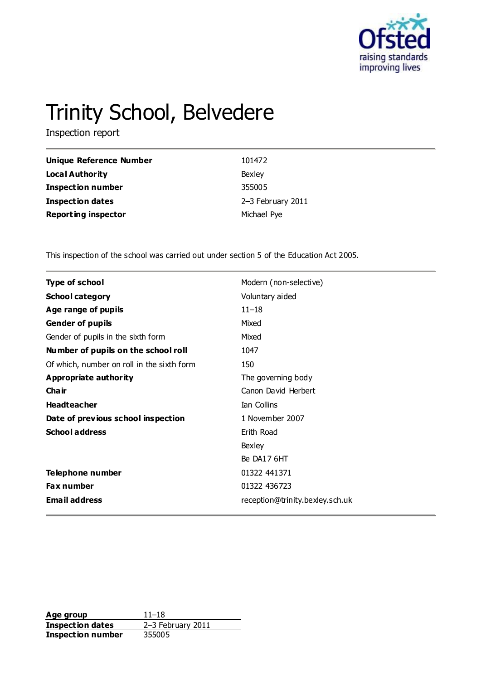

# Trinity School, Belvedere

Inspection report

| Unique Reference Number    | 101472            |
|----------------------------|-------------------|
| Local Authority            | Bexley            |
| <b>Inspection number</b>   | 355005            |
| Inspection dates           | 2-3 February 2011 |
| <b>Reporting inspector</b> | Michael Pye       |

This inspection of the school was carried out under section 5 of the Education Act 2005.

| <b>Type of school</b>                      | Modern (non-selective)          |
|--------------------------------------------|---------------------------------|
| <b>School category</b>                     | Voluntary aided                 |
| Age range of pupils                        | $11 - 18$                       |
| Gender of pupils                           | Mixed                           |
| Gender of pupils in the sixth form         | Mixed                           |
| Number of pupils on the school roll        | 1047                            |
| Of which, number on roll in the sixth form | 150                             |
| <b>Appropriate authority</b>               | The governing body              |
| Cha ir                                     | Canon David Herbert             |
| <b>Headteacher</b>                         | <b>Ian Collins</b>              |
| Date of previous school inspection         | 1 November 2007                 |
| <b>School address</b>                      | Erith Road                      |
|                                            | Bexley                          |
|                                            | Be DA17 6HT                     |
| Telephone number                           | 01322 441371                    |
| Fax number                                 | 01322 436723                    |
| <b>Email address</b>                       | reception@trinity.bexley.sch.uk |

**Age group** 11–18<br> **Inspection dates** 2–3 February 2011 **Inspection dates** 2–3 February 2011 **Inspection number** 355005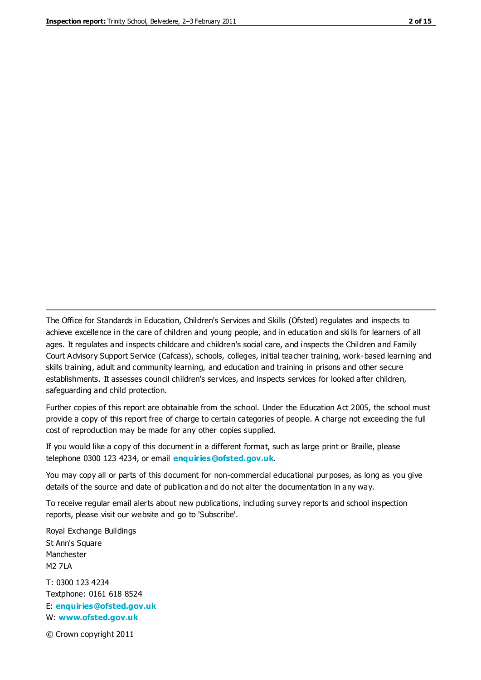The Office for Standards in Education, Children's Services and Skills (Ofsted) regulates and inspects to achieve excellence in the care of children and young people, and in education and skills for learners of all ages. It regulates and inspects childcare and children's social care, and inspects the Children and Family Court Advisory Support Service (Cafcass), schools, colleges, initial teacher training, work-based learning and skills training, adult and community learning, and education and training in prisons and other secure establishments. It assesses council children's services, and inspects services for looked after children, safeguarding and child protection.

Further copies of this report are obtainable from the school. Under the Education Act 2005, the school must provide a copy of this report free of charge to certain categories of people. A charge not exceeding the full cost of reproduction may be made for any other copies supplied.

If you would like a copy of this document in a different format, such as large print or Braille, please telephone 0300 123 4234, or email **[enquiries@ofsted.gov.uk](mailto:enquiries@ofsted.gov.uk)**.

You may copy all or parts of this document for non-commercial educational purposes, as long as you give details of the source and date of publication and do not alter the documentation in any way.

To receive regular email alerts about new publications, including survey reports and school inspection reports, please visit our website and go to 'Subscribe'.

Royal Exchange Buildings St Ann's Square Manchester M2 7LA T: 0300 123 4234 Textphone: 0161 618 8524 E: **[enquiries@ofsted.gov.uk](mailto:enquiries@ofsted.gov.uk)**

W: **[www.ofsted.gov.uk](http://www.ofsted.gov.uk/)**

© Crown copyright 2011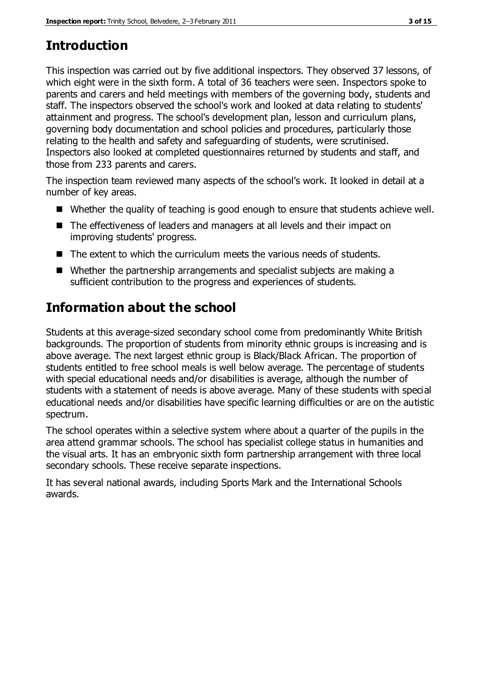# **Introduction**

This inspection was carried out by five additional inspectors. They observed 37 lessons, of which eight were in the sixth form. A total of 36 teachers were seen. Inspectors spoke to parents and carers and held meetings with members of the governing body, students and staff. The inspectors observed the school's work and looked at data relating to students' attainment and progress. The school's development plan, lesson and curriculum plans, governing body documentation and school policies and procedures, particularly those relating to the health and safety and safeguarding of students, were scrutinised. Inspectors also looked at completed questionnaires returned by students and staff, and those from 233 parents and carers.

The inspection team reviewed many aspects of the school's work. It looked in detail at a number of key areas.

- Whether the quality of teaching is good enough to ensure that students achieve well.
- The effectiveness of leaders and managers at all levels and their impact on improving students' progress.
- The extent to which the curriculum meets the various needs of students.
- Whether the partnership arrangements and specialist subjects are making a sufficient contribution to the progress and experiences of students.

# **Information about the school**

Students at this average-sized secondary school come from predominantly White British backgrounds. The proportion of students from minority ethnic groups is increasing and is above average. The next largest ethnic group is Black/Black African. The proportion of students entitled to free school meals is well below average. The percentage of students with special educational needs and/or disabilities is average, although the number of students with a statement of needs is above average. Many of these students with special educational needs and/or disabilities have specific learning difficulties or are on the autistic spectrum.

The school operates within a selective system where about a quarter of the pupils in the area attend grammar schools. The school has specialist college status in humanities and the visual arts. It has an embryonic sixth form partnership arrangement with three local secondary schools. These receive separate inspections.

It has several national awards, including Sports Mark and the International Schools awards.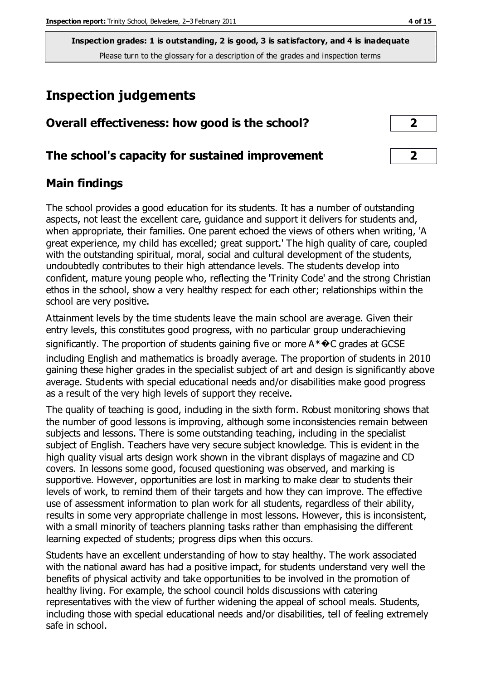# **Inspection judgements**

| Overall effectiveness: how good is the school? |  |
|------------------------------------------------|--|
|------------------------------------------------|--|

# **The school's capacity for sustained improvement 2**

# **Main findings**

The school provides a good education for its students. It has a number of outstanding aspects, not least the excellent care, guidance and support it delivers for students and, when appropriate, their families. One parent echoed the views of others when writing, 'A great experience, my child has excelled; great support.' The high quality of care, coupled with the outstanding spiritual, moral, social and cultural development of the students, undoubtedly contributes to their high attendance levels. The students develop into confident, mature young people who, reflecting the 'Trinity Code' and the strong Christian ethos in the school, show a very healthy respect for each other; relationships within the school are very positive.

Attainment levels by the time students leave the main school are average. Given their entry levels, this constitutes good progress, with no particular group underachieving significantly. The proportion of students gaining five or more  $A^*\bigodot$  grades at GCSE

including English and mathematics is broadly average. The proportion of students in 2010 gaining these higher grades in the specialist subject of art and design is significantly above average. Students with special educational needs and/or disabilities make good progress as a result of the very high levels of support they receive.

The quality of teaching is good, including in the sixth form. Robust monitoring shows that the number of good lessons is improving, although some inconsistencies remain between subjects and lessons. There is some outstanding teaching, including in the specialist subject of English. Teachers have very secure subject knowledge. This is evident in the high quality visual arts design work shown in the vibrant displays of magazine and CD covers. In lessons some good, focused questioning was observed, and marking is supportive. However, opportunities are lost in marking to make clear to students their levels of work, to remind them of their targets and how they can improve. The effective use of assessment information to plan work for all students, regardless of their ability, results in some very appropriate challenge in most lessons. However, this is inconsistent, with a small minority of teachers planning tasks rather than emphasising the different learning expected of students; progress dips when this occurs.

Students have an excellent understanding of how to stay healthy. The work associated with the national award has had a positive impact, for students understand very well the benefits of physical activity and take opportunities to be involved in the promotion of healthy living. For example, the school council holds discussions with catering representatives with the view of further widening the appeal of school meals. Students, including those with special educational needs and/or disabilities, tell of feeling extremely safe in school.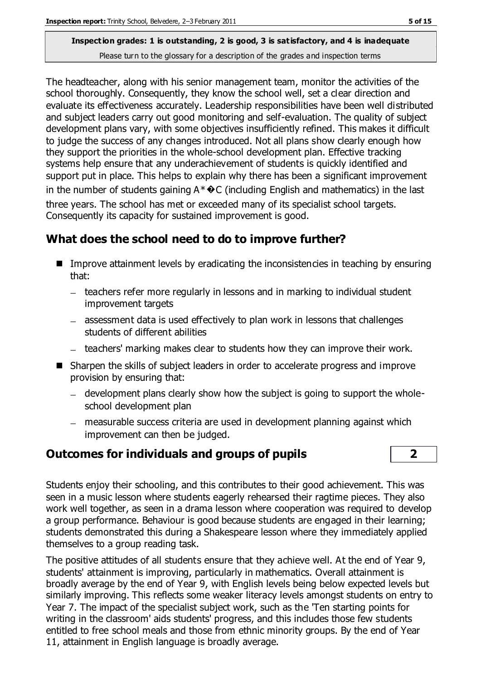The headteacher, along with his senior management team, monitor the activities of the school thoroughly. Consequently, they know the school well, set a clear direction and evaluate its effectiveness accurately. Leadership responsibilities have been well distributed and subject leaders carry out good monitoring and self-evaluation. The quality of subject development plans vary, with some objectives insufficiently refined. This makes it difficult to judge the success of any changes introduced. Not all plans show clearly enough how they support the priorities in the whole-school development plan. Effective tracking systems help ensure that any underachievement of students is quickly identified and support put in place. This helps to explain why there has been a significant improvement in the number of students gaining  $A^*\bigodot$  (including English and mathematics) in the last three years. The school has met or exceeded many of its specialist school targets. Consequently its capacity for sustained improvement is good.

# **What does the school need to do to improve further?**

- **IMP** Improve attainment levels by eradicating the inconsistencies in teaching by ensuring that:
	- teachers refer more regularly in lessons and in marking to individual student improvement targets
	- assessment data is used effectively to plan work in lessons that challenges students of different abilities
	- teachers' marking makes clear to students how they can improve their work.
- Sharpen the skills of subject leaders in order to accelerate progress and improve provision by ensuring that:
	- development plans clearly show how the subject is going to support the wholeschool development plan
	- measurable success criteria are used in development planning against which improvement can then be judged.

# **Outcomes for individuals and groups of pupils 2**



Students enjoy their schooling, and this contributes to their good achievement. This was seen in a music lesson where students eagerly rehearsed their ragtime pieces. They also work well together, as seen in a drama lesson where cooperation was required to develop a group performance. Behaviour is good because students are engaged in their learning; students demonstrated this during a Shakespeare lesson where they immediately applied themselves to a group reading task.

The positive attitudes of all students ensure that they achieve well. At the end of Year 9, students' attainment is improving, particularly in mathematics. Overall attainment is broadly average by the end of Year 9, with English levels being below expected levels but similarly improving. This reflects some weaker literacy levels amongst students on entry to Year 7. The impact of the specialist subject work, such as the 'Ten starting points for writing in the classroom' aids students' progress, and this includes those few students entitled to free school meals and those from ethnic minority groups. By the end of Year 11, attainment in English language is broadly average.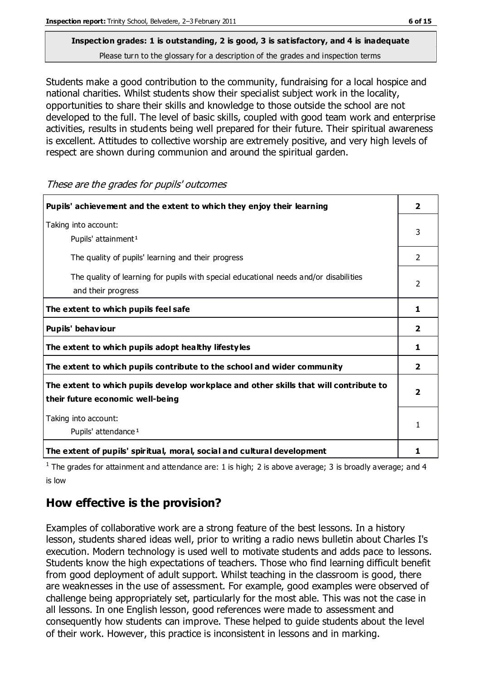Students make a good contribution to the community, fundraising for a local hospice and national charities. Whilst students show their specialist subject work in the locality, opportunities to share their skills and knowledge to those outside the school are not developed to the full. The level of basic skills, coupled with good team work and enterprise activities, results in students being well prepared for their future. Their spiritual awareness is excellent. Attitudes to collective worship are extremely positive, and very high levels of respect are shown during communion and around the spiritual garden.

**Pupils' achievement and the extent to which they enjoy their learning 2** Taking into account: Pupils' attainment<sup>1</sup> 3 The quality of pupils' learning and their progress 2008 2014 2015 The quality of learning for pupils with special educational needs and/or disabilities and their progress 2 The extent to which pupils feel safe  $\begin{array}{ccc} 1 & 1 \end{array}$ **Pupils' behaviour 2 The extent to which pupils adopt healthy lifestyles 1 The extent to which pupils contribute to the school and wider community 2 The extent to which pupils develop workplace and other skills that will contribute to their future economic well-being 2** Taking into account: Pupils' attendance<sup>1</sup> 1 **The extent of pupils' spiritual, moral, social and cultural development 1**

These are the grades for pupils' outcomes

<sup>1</sup> The grades for attainment and attendance are: 1 is high; 2 is above average; 3 is broadly average; and 4 is low

# **How effective is the provision?**

Examples of collaborative work are a strong feature of the best lessons. In a history lesson, students shared ideas well, prior to writing a radio news bulletin about Charles I's execution. Modern technology is used well to motivate students and adds pace to lessons. Students know the high expectations of teachers. Those who find learning difficult benefit from good deployment of adult support. Whilst teaching in the classroom is good, there are weaknesses in the use of assessment. For example, good examples were observed of challenge being appropriately set, particularly for the most able. This was not the case in all lessons. In one English lesson, good references were made to assessment and consequently how students can improve. These helped to guide students about the level of their work. However, this practice is inconsistent in lessons and in marking.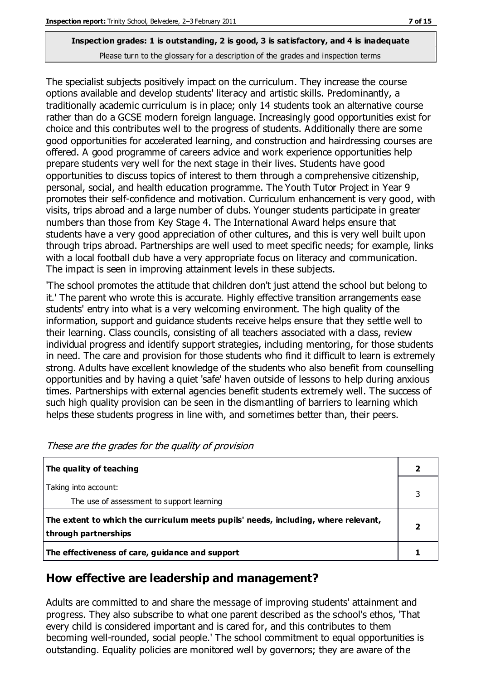The specialist subjects positively impact on the curriculum. They increase the course options available and develop students' literacy and artistic skills. Predominantly, a traditionally academic curriculum is in place; only 14 students took an alternative course rather than do a GCSE modern foreign language. Increasingly good opportunities exist for choice and this contributes well to the progress of students. Additionally there are some good opportunities for accelerated learning, and construction and hairdressing courses are offered. A good programme of careers advice and work experience opportunities help prepare students very well for the next stage in their lives. Students have good opportunities to discuss topics of interest to them through a comprehensive citizenship, personal, social, and health education programme. The Youth Tutor Project in Year 9 promotes their self-confidence and motivation. Curriculum enhancement is very good, with visits, trips abroad and a large number of clubs. Younger students participate in greater numbers than those from Key Stage 4. The International Award helps ensure that students have a very good appreciation of other cultures, and this is very well built upon through trips abroad. Partnerships are well used to meet specific needs; for example, links with a local football club have a very appropriate focus on literacy and communication. The impact is seen in improving attainment levels in these subjects.

'The school promotes the attitude that children don't just attend the school but belong to it.' The parent who wrote this is accurate. Highly effective transition arrangements ease students' entry into what is a very welcoming environment. The high quality of the information, support and guidance students receive helps ensure that they settle well to their learning. Class councils, consisting of all teachers associated with a class, review individual progress and identify support strategies, including mentoring, for those students in need. The care and provision for those students who find it difficult to learn is extremely strong. Adults have excellent knowledge of the students who also benefit from counselling opportunities and by having a quiet 'safe' haven outside of lessons to help during anxious times. Partnerships with external agencies benefit students extremely well. The success of such high quality provision can be seen in the dismantling of barriers to learning which helps these students progress in line with, and sometimes better than, their peers.

| The quality of teaching                                                                                    |  |
|------------------------------------------------------------------------------------------------------------|--|
| Taking into account:<br>The use of assessment to support learning                                          |  |
| The extent to which the curriculum meets pupils' needs, including, where relevant,<br>through partnerships |  |
| The effectiveness of care, guidance and support                                                            |  |

# **How effective are leadership and management?**

Adults are committed to and share the message of improving students' attainment and progress. They also subscribe to what one parent described as the school's ethos, 'That every child is considered important and is cared for, and this contributes to them becoming well-rounded, social people.' The school commitment to equal opportunities is outstanding. Equality policies are monitored well by governors; they are aware of the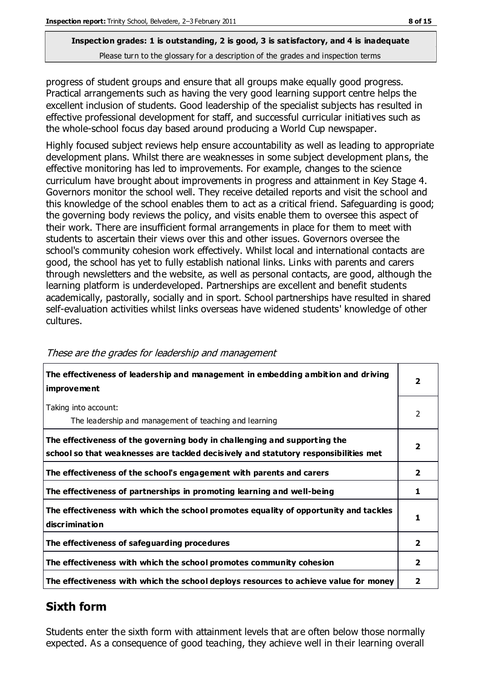progress of student groups and ensure that all groups make equally good progress. Practical arrangements such as having the very good learning support centre helps the excellent inclusion of students. Good leadership of the specialist subjects has resulted in effective professional development for staff, and successful curricular initiatives such as the whole-school focus day based around producing a World Cup newspaper.

Highly focused subject reviews help ensure accountability as well as leading to appropriate development plans. Whilst there are weaknesses in some subject development plans, the effective monitoring has led to improvements. For example, changes to the science curriculum have brought about improvements in progress and attainment in Key Stage 4. Governors monitor the school well. They receive detailed reports and visit the school and this knowledge of the school enables them to act as a critical friend. Safeguarding is good; the governing body reviews the policy, and visits enable them to oversee this aspect of their work. There are insufficient formal arrangements in place for them to meet with students to ascertain their views over this and other issues. Governors oversee the school's community cohesion work effectively. Whilst local and international contacts are good, the school has yet to fully establish national links. Links with parents and carers through newsletters and the website, as well as personal contacts, are good, although the learning platform is underdeveloped. Partnerships are excellent and benefit students academically, pastorally, socially and in sport. School partnerships have resulted in shared self-evaluation activities whilst links overseas have widened students' knowledge of other cultures.

| The effectiveness of leadership and management in embedding ambition and driving<br><i>improvement</i>                                                           |                |
|------------------------------------------------------------------------------------------------------------------------------------------------------------------|----------------|
| Taking into account:<br>The leadership and management of teaching and learning                                                                                   | 2              |
| The effectiveness of the governing body in challenging and supporting the<br>school so that weaknesses are tackled decisively and statutory responsibilities met | $\overline{2}$ |
| The effectiveness of the school's engagement with parents and carers                                                                                             | $\mathbf{2}$   |
| The effectiveness of partnerships in promoting learning and well-being                                                                                           | 1              |
| The effectiveness with which the school promotes equality of opportunity and tackles<br>discrimination                                                           | 1              |
| The effectiveness of safeguarding procedures                                                                                                                     | $\overline{2}$ |
| The effectiveness with which the school promotes community cohesion                                                                                              | 2              |
| The effectiveness with which the school deploys resources to achieve value for money                                                                             | 2              |

#### These are the grades for leadership and management

# **Sixth form**

Students enter the sixth form with attainment levels that are often below those normally expected. As a consequence of good teaching, they achieve well in their learning overall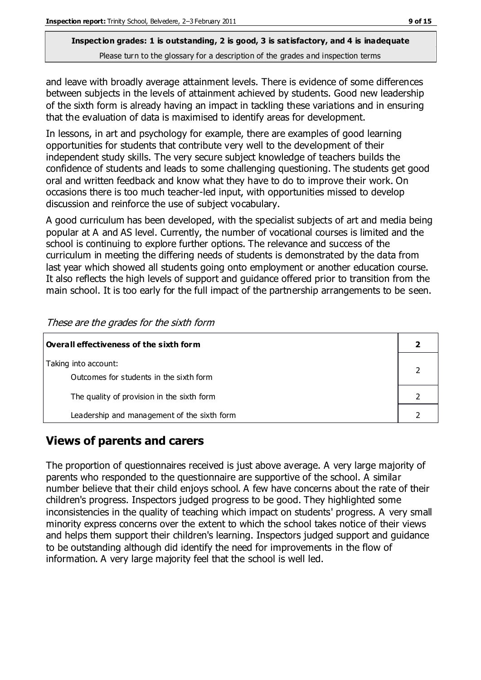and leave with broadly average attainment levels. There is evidence of some differences between subjects in the levels of attainment achieved by students. Good new leadership of the sixth form is already having an impact in tackling these variations and in ensuring that the evaluation of data is maximised to identify areas for development.

In lessons, in art and psychology for example, there are examples of good learning opportunities for students that contribute very well to the development of their independent study skills. The very secure subject knowledge of teachers builds the confidence of students and leads to some challenging questioning. The students get good oral and written feedback and know what they have to do to improve their work. On occasions there is too much teacher-led input, with opportunities missed to develop discussion and reinforce the use of subject vocabulary.

A good curriculum has been developed, with the specialist subjects of art and media being popular at A and AS level. Currently, the number of vocational courses is limited and the school is continuing to explore further options. The relevance and success of the curriculum in meeting the differing needs of students is demonstrated by the data from last year which showed all students going onto employment or another education course. It also reflects the high levels of support and guidance offered prior to transition from the main school. It is too early for the full impact of the partnership arrangements to be seen.

| Overall effectiveness of the sixth form                         |  |  |
|-----------------------------------------------------------------|--|--|
| Taking into account:<br>Outcomes for students in the sixth form |  |  |
| The quality of provision in the sixth form                      |  |  |
| Leadership and management of the sixth form                     |  |  |

These are the grades for the sixth form

# **Views of parents and carers**

The proportion of questionnaires received is just above average. A very large majority of parents who responded to the questionnaire are supportive of the school. A similar number believe that their child enjoys school. A few have concerns about the rate of their children's progress. Inspectors judged progress to be good. They highlighted some inconsistencies in the quality of teaching which impact on students' progress. A very small minority express concerns over the extent to which the school takes notice of their views and helps them support their children's learning. Inspectors judged support and guidance to be outstanding although did identify the need for improvements in the flow of information. A very large majority feel that the school is well led.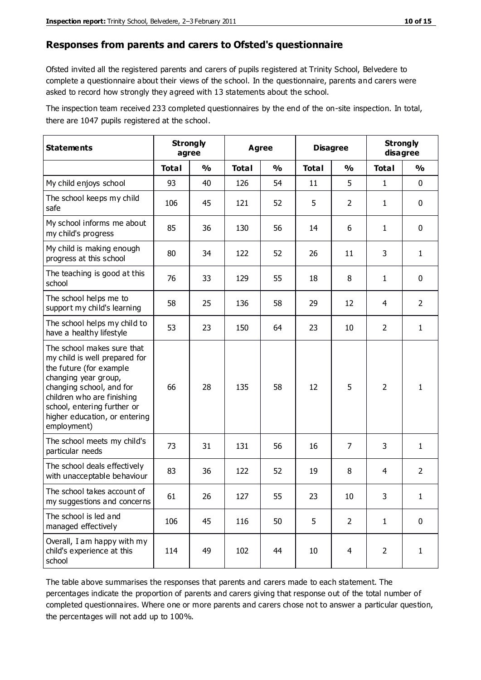#### **Responses from parents and carers to Ofsted's questionnaire**

Ofsted invited all the registered parents and carers of pupils registered at Trinity School, Belvedere to complete a questionnaire about their views of the school. In the questionnaire, parents and carers were asked to record how strongly they agreed with 13 statements about the school.

The inspection team received 233 completed questionnaires by the end of the on-site inspection. In total, there are 1047 pupils registered at the school.

| <b>Statements</b>                                                                                                                                                                                                                                       | <b>Strongly</b><br>agree |               | Agree        |               | <b>Disagree</b> |                | <b>Strongly</b><br>disagree |                |
|---------------------------------------------------------------------------------------------------------------------------------------------------------------------------------------------------------------------------------------------------------|--------------------------|---------------|--------------|---------------|-----------------|----------------|-----------------------------|----------------|
|                                                                                                                                                                                                                                                         | <b>Total</b>             | $\frac{1}{2}$ | <b>Total</b> | $\frac{1}{2}$ | <b>Total</b>    | $\frac{1}{2}$  | <b>Total</b>                | %              |
| My child enjoys school                                                                                                                                                                                                                                  | 93                       | 40            | 126          | 54            | 11              | 5              | 1                           | $\mathbf 0$    |
| The school keeps my child<br>safe                                                                                                                                                                                                                       | 106                      | 45            | 121          | 52            | 5               | $\overline{2}$ | 1                           | $\mathbf 0$    |
| My school informs me about<br>my child's progress                                                                                                                                                                                                       | 85                       | 36            | 130          | 56            | 14              | 6              | $\mathbf{1}$                | $\mathbf 0$    |
| My child is making enough<br>progress at this school                                                                                                                                                                                                    | 80                       | 34            | 122          | 52            | 26              | 11             | 3                           | $\mathbf{1}$   |
| The teaching is good at this<br>school                                                                                                                                                                                                                  | 76                       | 33            | 129          | 55            | 18              | 8              | $\mathbf{1}$                | $\mathbf 0$    |
| The school helps me to<br>support my child's learning                                                                                                                                                                                                   | 58                       | 25            | 136          | 58            | 29              | 12             | 4                           | $\overline{2}$ |
| The school helps my child to<br>have a healthy lifestyle                                                                                                                                                                                                | 53                       | 23            | 150          | 64            | 23              | 10             | $\overline{2}$              | $\mathbf{1}$   |
| The school makes sure that<br>my child is well prepared for<br>the future (for example<br>changing year group,<br>changing school, and for<br>children who are finishing<br>school, entering further or<br>higher education, or entering<br>employment) | 66                       | 28            | 135          | 58            | 12              | 5              | $\overline{2}$              | $\mathbf{1}$   |
| The school meets my child's<br>particular needs                                                                                                                                                                                                         | 73                       | 31            | 131          | 56            | 16              | $\overline{7}$ | 3                           | $\mathbf{1}$   |
| The school deals effectively<br>with unacceptable behaviour                                                                                                                                                                                             | 83                       | 36            | 122          | 52            | 19              | 8              | 4                           | $\overline{2}$ |
| The school takes account of<br>my suggestions and concerns                                                                                                                                                                                              | 61                       | 26            | 127          | 55            | 23              | $10\,$         | 3                           | 1              |
| The school is led and<br>managed effectively                                                                                                                                                                                                            | 106                      | 45            | 116          | 50            | 5               | $\overline{2}$ | $\mathbf{1}$                | $\mathbf 0$    |
| Overall, I am happy with my<br>child's experience at this<br>school                                                                                                                                                                                     | 114                      | 49            | 102          | 44            | 10              | $\overline{4}$ | $\overline{2}$              | $\mathbf{1}$   |

The table above summarises the responses that parents and carers made to each statement. The percentages indicate the proportion of parents and carers giving that response out of the total number of completed questionnaires. Where one or more parents and carers chose not to answer a particular question, the percentages will not add up to 100%.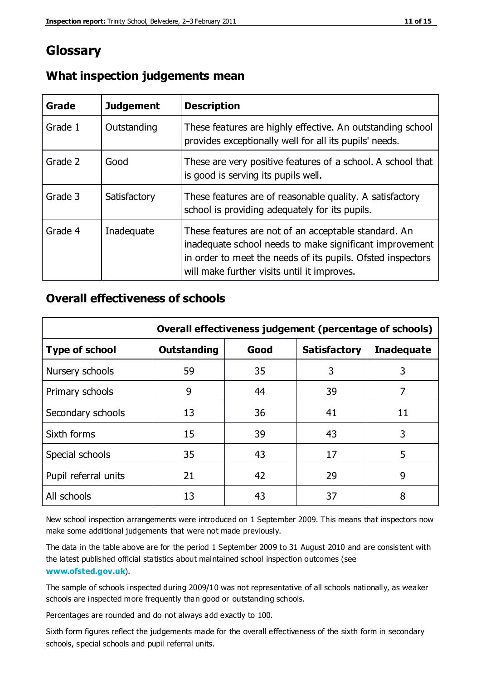# **Glossary**

| Grade   | <b>Judgement</b> | <b>Description</b>                                                                                                                                                                                                            |
|---------|------------------|-------------------------------------------------------------------------------------------------------------------------------------------------------------------------------------------------------------------------------|
| Grade 1 | Outstanding      | These features are highly effective. An outstanding school<br>provides exceptionally well for all its pupils' needs.                                                                                                          |
| Grade 2 | Good             | These are very positive features of a school. A school that<br>is good is serving its pupils well.                                                                                                                            |
| Grade 3 | Satisfactory     | These features are of reasonable quality. A satisfactory<br>school is providing adequately for its pupils.                                                                                                                    |
| Grade 4 | Inadequate       | These features are not of an acceptable standard. An<br>inadequate school needs to make significant improvement<br>in order to meet the needs of its pupils. Ofsted inspectors<br>will make further visits until it improves. |

# **What inspection judgements mean**

# **Overall effectiveness of schools**

|                       | Overall effectiveness judgement (percentage of schools) |      |                     |                   |
|-----------------------|---------------------------------------------------------|------|---------------------|-------------------|
| <b>Type of school</b> | <b>Outstanding</b>                                      | Good | <b>Satisfactory</b> | <b>Inadequate</b> |
| Nursery schools       | 59                                                      | 35   | 3                   | 3                 |
| Primary schools       | 9                                                       | 44   | 39                  | 7                 |
| Secondary schools     | 13                                                      | 36   | 41                  | 11                |
| Sixth forms           | 15                                                      | 39   | 43                  | 3                 |
| Special schools       | 35                                                      | 43   | 17                  | 5                 |
| Pupil referral units  | 21                                                      | 42   | 29                  | 9                 |
| All schools           | 13                                                      | 43   | 37                  | 8                 |

New school inspection arrangements were introduced on 1 September 2009. This means that inspectors now make some additional judgements that were not made previously.

The data in the table above are for the period 1 September 2009 to 31 August 2010 and are consistent with the latest published official statistics about maintained school inspection outcomes (see **[www.ofsted.gov.uk](http://www.ofsted.gov.uk/)**).

The sample of schools inspected during 2009/10 was not representative of all schools nationally, as weaker schools are inspected more frequently than good or outstanding schools.

Percentages are rounded and do not always add exactly to 100.

Sixth form figures reflect the judgements made for the overall effectiveness of the sixth form in secondary schools, special schools and pupil referral units.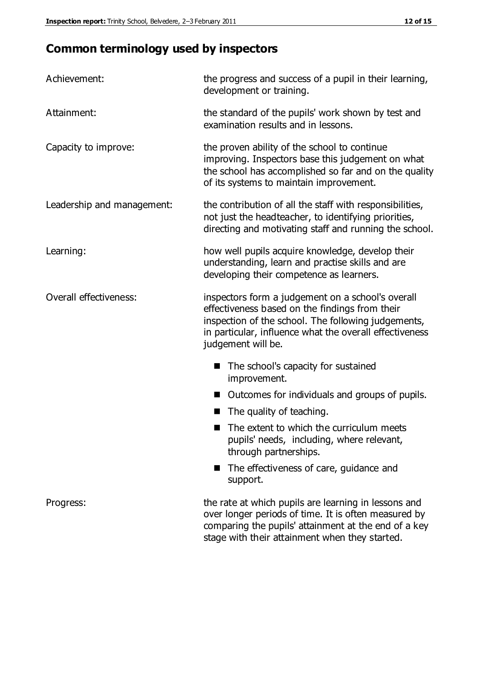# **Common terminology used by inspectors**

| Achievement:                  | the progress and success of a pupil in their learning,<br>development or training.                                                                                                                                                          |  |  |
|-------------------------------|---------------------------------------------------------------------------------------------------------------------------------------------------------------------------------------------------------------------------------------------|--|--|
| Attainment:                   | the standard of the pupils' work shown by test and<br>examination results and in lessons.                                                                                                                                                   |  |  |
| Capacity to improve:          | the proven ability of the school to continue<br>improving. Inspectors base this judgement on what<br>the school has accomplished so far and on the quality<br>of its systems to maintain improvement.                                       |  |  |
| Leadership and management:    | the contribution of all the staff with responsibilities,<br>not just the headteacher, to identifying priorities,<br>directing and motivating staff and running the school.                                                                  |  |  |
| Learning:                     | how well pupils acquire knowledge, develop their<br>understanding, learn and practise skills and are<br>developing their competence as learners.                                                                                            |  |  |
| <b>Overall effectiveness:</b> | inspectors form a judgement on a school's overall<br>effectiveness based on the findings from their<br>inspection of the school. The following judgements,<br>in particular, influence what the overall effectiveness<br>judgement will be. |  |  |
|                               | The school's capacity for sustained<br>improvement.                                                                                                                                                                                         |  |  |
|                               | Outcomes for individuals and groups of pupils.                                                                                                                                                                                              |  |  |
|                               | The quality of teaching.                                                                                                                                                                                                                    |  |  |
|                               | The extent to which the curriculum meets<br>pupils' needs, including, where relevant,<br>through partnerships.                                                                                                                              |  |  |
|                               | The effectiveness of care, guidance and<br>support.                                                                                                                                                                                         |  |  |
| Progress:                     | the rate at which pupils are learning in lessons and<br>over longer periods of time. It is often measured by<br>comparing the pupils' attainment at the end of a key                                                                        |  |  |

stage with their attainment when they started.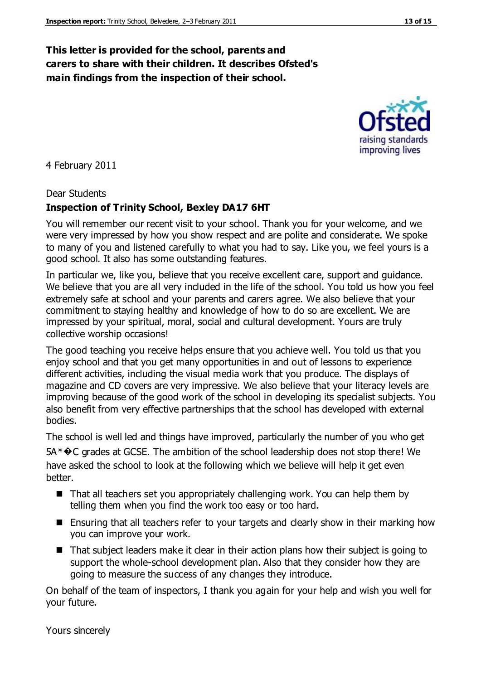# **This letter is provided for the school, parents and carers to share with their children. It describes Ofsted's main findings from the inspection of their school.**

4 February 2011

#### Dear Students

#### **Inspection of Trinity School, Bexley DA17 6HT**

You will remember our recent visit to your school. Thank you for your welcome, and we were very impressed by how you show respect and are polite and considerate. We spoke to many of you and listened carefully to what you had to say. Like you, we feel yours is a good school. It also has some outstanding features.

In particular we, like you, believe that you receive excellent care, support and guidance. We believe that you are all very included in the life of the school. You told us how you feel extremely safe at school and your parents and carers agree. We also believe that your commitment to staying healthy and knowledge of how to do so are excellent. We are impressed by your spiritual, moral, social and cultural development. Yours are truly collective worship occasions!

The good teaching you receive helps ensure that you achieve well. You told us that you enjoy school and that you get many opportunities in and out of lessons to experience different activities, including the visual media work that you produce. The displays of magazine and CD covers are very impressive. We also believe that your literacy levels are improving because of the good work of the school in developing its specialist subjects. You also benefit from very effective partnerships that the school has developed with external bodies.

The school is well led and things have improved, particularly the number of you who get 5A<sup>\*</sup>�C grades at GCSE. The ambition of the school leadership does not stop there! We have asked the school to look at the following which we believe will help it get even better.

- That all teachers set you appropriately challenging work. You can help them by telling them when you find the work too easy or too hard.
- **E** Ensuring that all teachers refer to your targets and clearly show in their marking how you can improve your work.
- That subject leaders make it clear in their action plans how their subject is going to support the whole-school development plan. Also that they consider how they are going to measure the success of any changes they introduce.

On behalf of the team of inspectors, I thank you again for your help and wish you well for your future.

Yours sincerely

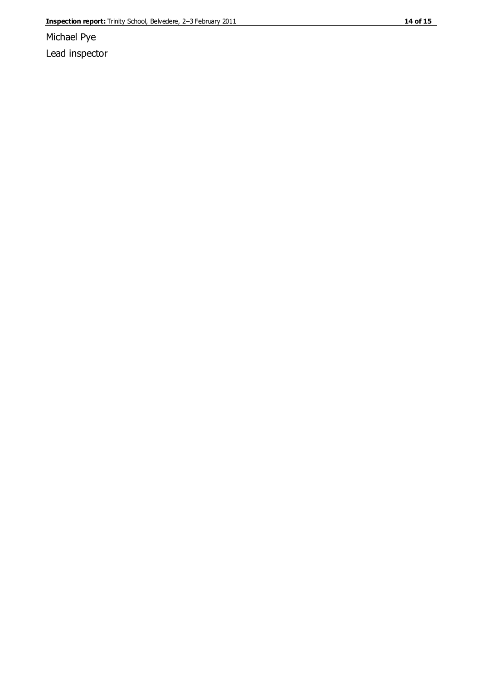Michael Pye Lead inspector